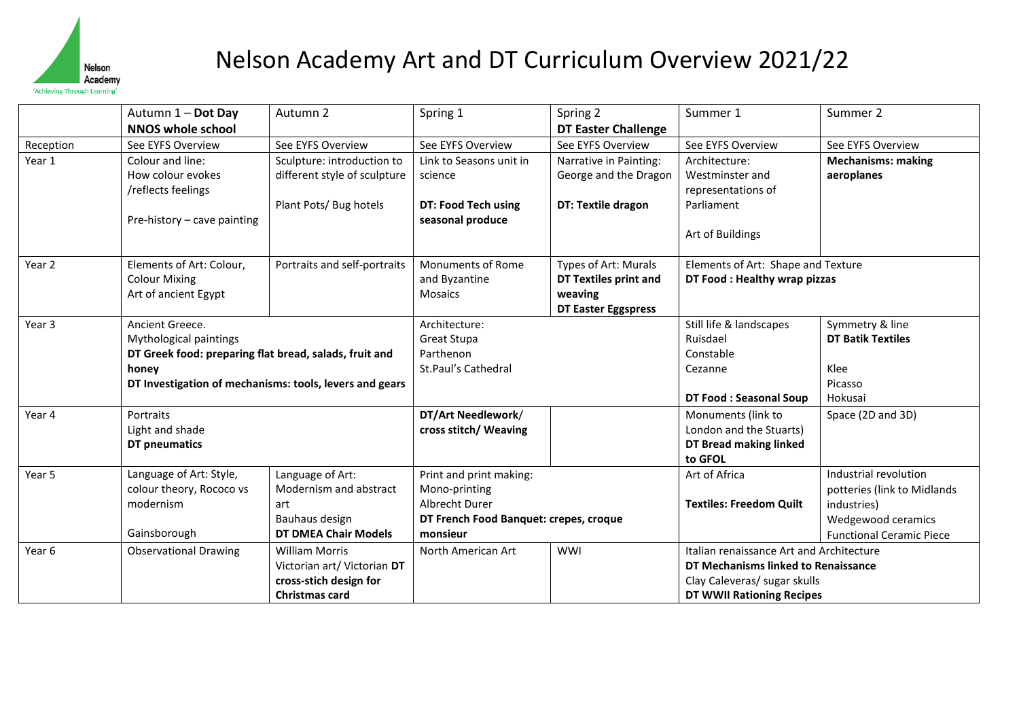

## Nelson Academy Art and DT Curriculum Overview 2021/22

|           | Autumn 1 - Dot Day                                                                   | Autumn 2                     | Spring 1                               | Spring 2                     | Summer 1                                 | Summer 2                        |
|-----------|--------------------------------------------------------------------------------------|------------------------------|----------------------------------------|------------------------------|------------------------------------------|---------------------------------|
|           | <b>NNOS whole school</b>                                                             |                              |                                        | <b>DT Easter Challenge</b>   |                                          |                                 |
| Reception | See EYFS Overview                                                                    | See EYFS Overview            | See EYFS Overview                      | See EYFS Overview            | See EYFS Overview                        | See EYFS Overview               |
| Year 1    | Colour and line:                                                                     | Sculpture: introduction to   | Link to Seasons unit in                | Narrative in Painting:       | Architecture:                            | <b>Mechanisms: making</b>       |
|           | How colour evokes                                                                    | different style of sculpture | science                                | George and the Dragon        | Westminster and                          | aeroplanes                      |
|           | /reflects feelings                                                                   |                              |                                        |                              | representations of                       |                                 |
|           |                                                                                      | Plant Pots/ Bug hotels       | DT: Food Tech using                    | DT: Textile dragon           | Parliament                               |                                 |
|           | Pre-history - cave painting                                                          |                              | seasonal produce                       |                              |                                          |                                 |
|           |                                                                                      |                              |                                        |                              | Art of Buildings                         |                                 |
| Year 2    | Elements of Art: Colour,                                                             | Portraits and self-portraits | Monuments of Rome                      | Types of Art: Murals         | Elements of Art: Shape and Texture       |                                 |
|           | <b>Colour Mixing</b>                                                                 |                              | and Byzantine                          | <b>DT Textiles print and</b> | DT Food: Healthy wrap pizzas             |                                 |
|           | Art of ancient Egypt                                                                 |                              | <b>Mosaics</b>                         | weaving                      |                                          |                                 |
|           |                                                                                      |                              |                                        | <b>DT Easter Eggspress</b>   |                                          |                                 |
| Year 3    | Ancient Greece.                                                                      |                              | Architecture:                          |                              | Still life & landscapes                  | Symmetry & line                 |
|           | Mythological paintings                                                               |                              | Great Stupa                            |                              | Ruisdael                                 | <b>DT Batik Textiles</b>        |
|           | DT Greek food: preparing flat bread, salads, fruit and                               |                              | Parthenon                              |                              | Constable                                |                                 |
| honey     |                                                                                      |                              | St.Paul's Cathedral                    |                              | Cezanne                                  | Klee                            |
|           | DT Investigation of mechanisms: tools, levers and gears                              |                              |                                        |                              |                                          | Picasso                         |
|           |                                                                                      |                              |                                        |                              | <b>DT Food: Seasonal Soup</b>            | Hokusai                         |
| Year 4    | Portraits                                                                            |                              | DT/Art Needlework/                     |                              | Monuments (link to                       | Space (2D and 3D)               |
|           | Light and shade                                                                      |                              | cross stitch/ Weaving                  |                              | London and the Stuarts)                  |                                 |
|           | DT pneumatics                                                                        |                              |                                        |                              | <b>DT Bread making linked</b>            |                                 |
|           |                                                                                      |                              |                                        |                              | to GFOL                                  |                                 |
| Year 5    | Language of Art: Style,                                                              | Language of Art:             | Print and print making:                |                              | Art of Africa                            | Industrial revolution           |
|           | colour theory, Rococo vs                                                             | Modernism and abstract       | Mono-printing                          |                              |                                          | potteries (link to Midlands     |
|           | modernism                                                                            | art                          | Albrecht Durer                         |                              | <b>Textiles: Freedom Quilt</b>           | industries)                     |
|           | Bauhaus design                                                                       |                              | DT French Food Banquet: crepes, croque |                              |                                          | Wedgewood ceramics              |
|           | Gainsborough<br><b>DT DMEA Chair Models</b>                                          |                              | monsieur                               |                              |                                          | <b>Functional Ceramic Piece</b> |
| Year 6    | <b>Observational Drawing</b><br><b>William Morris</b><br>Victorian art/ Victorian DT |                              | <b>WWI</b><br>North American Art       |                              | Italian renaissance Art and Architecture |                                 |
|           |                                                                                      |                              |                                        |                              | DT Mechanisms linked to Renaissance      |                                 |
|           |                                                                                      | cross-stich design for       |                                        |                              | Clay Caleveras/ sugar skulls             |                                 |
|           |                                                                                      | Christmas card               |                                        |                              | DT WWII Rationing Recipes                |                                 |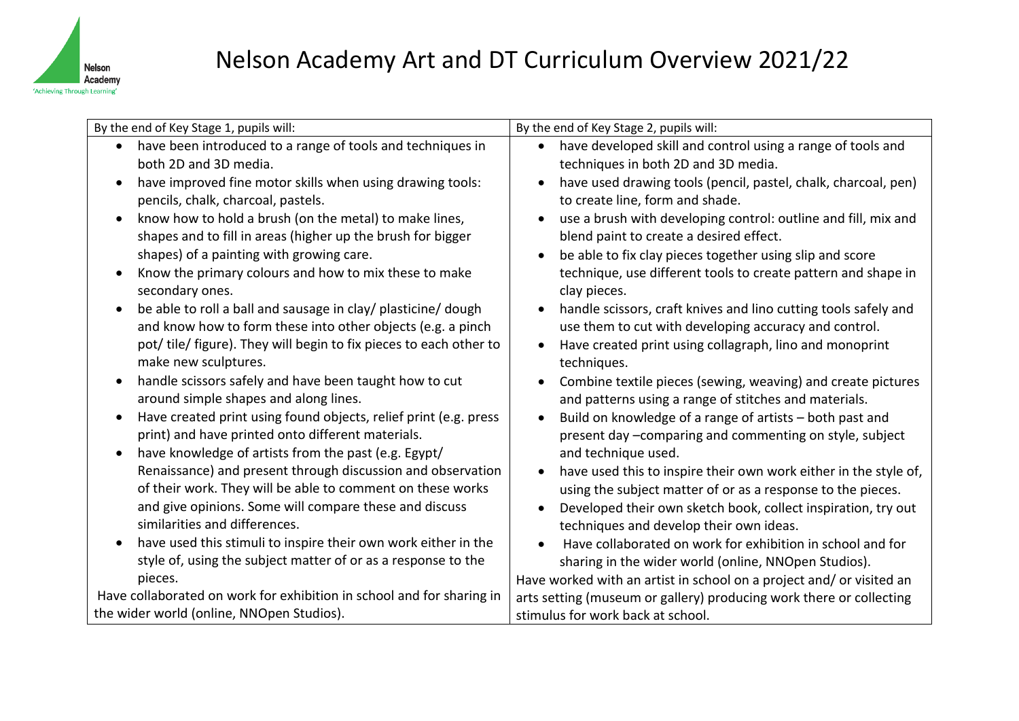

| By the end of Key Stage 1, pupils will:                               | By the end of Key Stage 2, pupils will:                                       |  |  |
|-----------------------------------------------------------------------|-------------------------------------------------------------------------------|--|--|
| have been introduced to a range of tools and techniques in            | have developed skill and control using a range of tools and                   |  |  |
| both 2D and 3D media.                                                 | techniques in both 2D and 3D media.                                           |  |  |
| have improved fine motor skills when using drawing tools:             | have used drawing tools (pencil, pastel, chalk, charcoal, pen)<br>$\bullet$   |  |  |
| pencils, chalk, charcoal, pastels.                                    | to create line, form and shade.                                               |  |  |
| know how to hold a brush (on the metal) to make lines,                | use a brush with developing control: outline and fill, mix and                |  |  |
| shapes and to fill in areas (higher up the brush for bigger           | blend paint to create a desired effect.                                       |  |  |
| shapes) of a painting with growing care.                              | be able to fix clay pieces together using slip and score<br>$\bullet$         |  |  |
| Know the primary colours and how to mix these to make                 | technique, use different tools to create pattern and shape in                 |  |  |
| secondary ones.                                                       | clay pieces.                                                                  |  |  |
| be able to roll a ball and sausage in clay/ plasticine/ dough         | handle scissors, craft knives and lino cutting tools safely and<br>$\bullet$  |  |  |
| and know how to form these into other objects (e.g. a pinch           | use them to cut with developing accuracy and control.                         |  |  |
| pot/tile/figure). They will begin to fix pieces to each other to      | Have created print using collagraph, lino and monoprint<br>$\bullet$          |  |  |
| make new sculptures.                                                  | techniques.                                                                   |  |  |
| handle scissors safely and have been taught how to cut                | Combine textile pieces (sewing, weaving) and create pictures                  |  |  |
| around simple shapes and along lines.                                 | and patterns using a range of stitches and materials.                         |  |  |
| Have created print using found objects, relief print (e.g. press      | Build on knowledge of a range of artists - both past and<br>$\bullet$         |  |  |
| print) and have printed onto different materials.                     | present day -comparing and commenting on style, subject                       |  |  |
| have knowledge of artists from the past (e.g. Egypt/<br>$\bullet$     | and technique used.                                                           |  |  |
| Renaissance) and present through discussion and observation           | have used this to inspire their own work either in the style of,<br>$\bullet$ |  |  |
| of their work. They will be able to comment on these works            | using the subject matter of or as a response to the pieces.                   |  |  |
| and give opinions. Some will compare these and discuss                | Developed their own sketch book, collect inspiration, try out<br>$\bullet$    |  |  |
| similarities and differences.                                         | techniques and develop their own ideas.                                       |  |  |
| have used this stimuli to inspire their own work either in the        | Have collaborated on work for exhibition in school and for                    |  |  |
| style of, using the subject matter of or as a response to the         | sharing in the wider world (online, NNOpen Studios).                          |  |  |
| pieces.                                                               | Have worked with an artist in school on a project and/ or visited an          |  |  |
| Have collaborated on work for exhibition in school and for sharing in | arts setting (museum or gallery) producing work there or collecting           |  |  |
| the wider world (online, NNOpen Studios).                             | stimulus for work back at school.                                             |  |  |